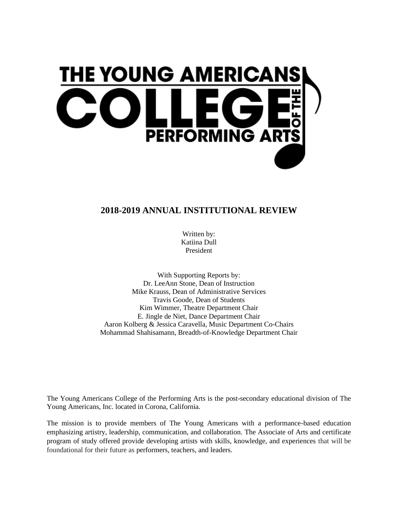

## **2018-2019 ANNUAL INSTITUTIONAL REVIEW**

Written by: Katiina Dull President

With Supporting Reports by: Dr. LeeAnn Stone, Dean of Instruction Mike Krauss, Dean of Administrative Services Travis Goode, Dean of Students Kim Wimmer, Theatre Department Chair E. Jingle de Niet, Dance Department Chair Aaron Kolberg & Jessica Caravella, Music Department Co-Chairs Mohammad Shahisamann, Breadth-of-Knowledge Department Chair

The Young Americans College of the Performing Arts is the post-secondary educational division of The Young Americans, Inc. located in Corona, California.

The mission is to provide members of The Young Americans with a performance-based education emphasizing artistry, leadership, communication, and collaboration. The Associate of Arts and certificate program of study offered provide developing artists with skills, knowledge, and experiences that will be foundational for their future as performers, teachers, and leaders.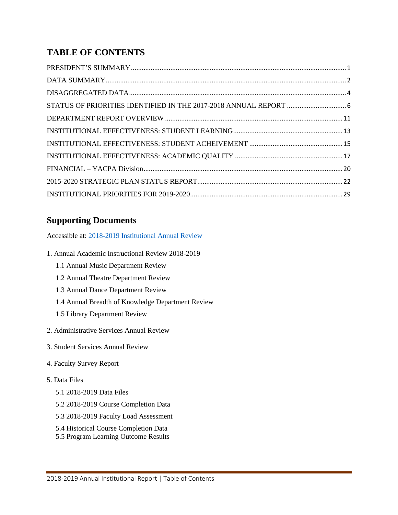# **TABLE OF CONTENTS**

# **Supporting Documents**

Accessible at: 2018-2019 [Institutional Annual Review](https://drive.google.com/drive/folders/1QiUPTpgxiv7xWoumMeT3LBnwSEGL3nqO?usp=sharing)

- 1. Annual Academic Instructional Review 2018-2019
	- 1.1 Annual Music Department Review
	- 1.2 Annual Theatre Department Review
	- 1.3 Annual Dance Department Review
	- 1.4 Annual Breadth of Knowledge Department Review
	- 1.5 Library Department Review
- 2. Administrative Services Annual Review
- 3. Student Services Annual Review
- 4. Faculty Survey Report

## 5. Data Files

- 5.1 2018-2019 Data Files
- 5.2 2018-2019 Course Completion Data
- 5.3 2018-2019 Faculty Load Assessment
- 5.4 Historical Course Completion Data
- <span id="page-1-0"></span>5.5 Program Learning Outcome Results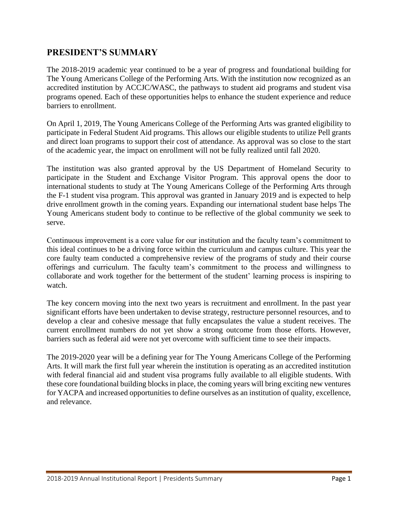## **PRESIDENT'S SUMMARY**

The 2018-2019 academic year continued to be a year of progress and foundational building for The Young Americans College of the Performing Arts. With the institution now recognized as an accredited institution by ACCJC/WASC, the pathways to student aid programs and student visa programs opened. Each of these opportunities helps to enhance the student experience and reduce barriers to enrollment.

On April 1, 2019, The Young Americans College of the Performing Arts was granted eligibility to participate in Federal Student Aid programs. This allows our eligible students to utilize Pell grants and direct loan programs to support their cost of attendance. As approval was so close to the start of the academic year, the impact on enrollment will not be fully realized until fall 2020.

The institution was also granted approval by the US Department of Homeland Security to participate in the Student and Exchange Visitor Program. This approval opens the door to international students to study at The Young Americans College of the Performing Arts through the F-1 student visa program. This approval was granted in January 2019 and is expected to help drive enrollment growth in the coming years. Expanding our international student base helps The Young Americans student body to continue to be reflective of the global community we seek to serve.

Continuous improvement is a core value for our institution and the faculty team's commitment to this ideal continues to be a driving force within the curriculum and campus culture. This year the core faulty team conducted a comprehensive review of the programs of study and their course offerings and curriculum. The faculty team's commitment to the process and willingness to collaborate and work together for the betterment of the student' learning process is inspiring to watch.

The key concern moving into the next two years is recruitment and enrollment. In the past year significant efforts have been undertaken to devise strategy, restructure personnel resources, and to develop a clear and cohesive message that fully encapsulates the value a student receives. The current enrollment numbers do not yet show a strong outcome from those efforts. However, barriers such as federal aid were not yet overcome with sufficient time to see their impacts.

The 2019-2020 year will be a defining year for The Young Americans College of the Performing Arts. It will mark the first full year wherein the institution is operating as an accredited institution with federal financial aid and student visa programs fully available to all eligible students. With these core foundational building blocks in place, the coming years will bring exciting new ventures for YACPA and increased opportunities to define ourselves as an institution of quality, excellence, and relevance.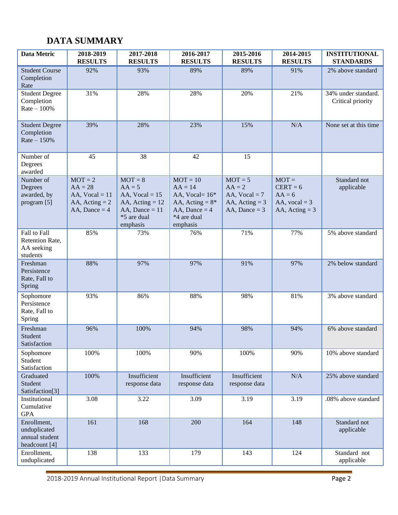# <span id="page-3-0"></span>**DATA SUMMARY**

| Data Metric                                                    | 2018-2019<br><b>RESULTS</b>                                                       | 2017-2018<br><b>RESULTS</b>                                                                                   | 2016-2017<br><b>RESULTS</b>                                                                                    | 2015-2016<br><b>RESULTS</b>                                                     | 2014-2015<br><b>RESULTS</b>                                                     | <b>INSTITUTIONAL</b><br><b>STANDARDS</b> |
|----------------------------------------------------------------|-----------------------------------------------------------------------------------|---------------------------------------------------------------------------------------------------------------|----------------------------------------------------------------------------------------------------------------|---------------------------------------------------------------------------------|---------------------------------------------------------------------------------|------------------------------------------|
| <b>Student Course</b><br>Completion<br>Rate                    | 92%                                                                               | 93%                                                                                                           | 89%                                                                                                            | 89%                                                                             | 91%                                                                             | 2% above standard                        |
| <b>Student Degree</b><br>Completion<br>$Rate - 100%$           | 31%                                                                               | 28%                                                                                                           | 28%                                                                                                            | 20%                                                                             | 21%                                                                             | 34% under standard.<br>Critical priority |
| <b>Student Degree</b><br>Completion<br>$Rate - 150%$           | 39%                                                                               | 28%                                                                                                           | 23%                                                                                                            | 15%                                                                             | N/A                                                                             | None set at this time                    |
| Number of<br>Degrees<br>awarded                                | 45                                                                                | 38                                                                                                            | 42                                                                                                             | 15                                                                              |                                                                                 |                                          |
| Number of<br>Degrees<br>awarded, by<br>program [5]             | $MOT = 2$<br>$AA = 28$<br>AA, $Vocal = 11$<br>AA, Acting $= 2$<br>AA, Dance $=$ 4 | $MOT = 8$<br>$AA = 5$<br>AA, $Vocal = 15$<br>AA, $Acting = 12$<br>AA, Dance $= 11$<br>*5 are dual<br>emphasis | $MOT = 10$<br>$AA = 14$<br>AA, Vocal= $16*$<br>AA, Acting = $8*$<br>AA, Dance $= 4$<br>*4 are dual<br>emphasis | $MOT = 5$<br>$AA = 2$<br>AA, $Vocal = 7$<br>AA, Acting $=$ 3<br>AA, Dance = $3$ | $MOT =$<br>$CERT = 6$<br>$AA = 6$<br>AA, $\text{vocal} = 3$<br>AA, Acting $=$ 3 | Standard not<br>applicable               |
| Fall to Fall<br>Retention Rate,<br>AA seeking<br>students      | 85%                                                                               | 73%                                                                                                           | 76%                                                                                                            | 71%                                                                             | 77%                                                                             | 5% above standard                        |
| Freshman<br>Persistence<br>Rate, Fall to<br>Spring             | 88%                                                                               | 97%                                                                                                           | 97%                                                                                                            | 91%                                                                             | 97%                                                                             | 2% below standard                        |
| Sophomore<br>Persistence<br>Rate, Fall to<br>Spring            | 93%                                                                               | 86%                                                                                                           | 88%                                                                                                            | 98%                                                                             | 81%                                                                             | 3% above standard                        |
| Freshman<br>Student<br>Satisfaction                            | 96%                                                                               | 100%                                                                                                          | 94%                                                                                                            | 98%                                                                             | 94%                                                                             | 6% above standard                        |
| Sophomore<br>Student<br>Satisfaction                           | 100%                                                                              | 100%                                                                                                          | 90%                                                                                                            | 100%                                                                            | 90%                                                                             | 10% above standard                       |
| Graduated<br>Student<br>Satisfaction[3]                        | 100%                                                                              | Insufficient<br>response data                                                                                 | Insufficient<br>response data                                                                                  | Insufficient<br>response data                                                   | $\rm N/A$                                                                       | 25% above standard                       |
| Institutional<br>Cumulative<br><b>GPA</b>                      | 3.08                                                                              | 3.22                                                                                                          | 3.09                                                                                                           | 3.19                                                                            | 3.19                                                                            | .08% above standard                      |
| Enrollment,<br>unduplicated<br>annual student<br>headcount [4] | 161                                                                               | 168                                                                                                           | 200                                                                                                            | 164                                                                             | 148                                                                             | Standard not<br>applicable               |
| Enrollment,<br>unduplicated                                    | 138                                                                               | 133                                                                                                           | 179                                                                                                            | 143                                                                             | 124                                                                             | Standard not<br>applicable               |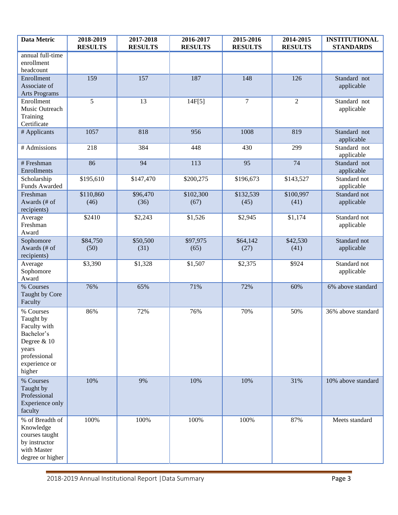<span id="page-4-0"></span>

| <b>Data Metric</b>                                                                                                      | 2018-2019<br><b>RESULTS</b> | 2017-2018<br><b>RESULTS</b> | 2016-2017<br><b>RESULTS</b> | 2015-2016<br><b>RESULTS</b> | 2014-2015<br><b>RESULTS</b> | <b>INSTITUTIONAL</b><br><b>STANDARDS</b> |
|-------------------------------------------------------------------------------------------------------------------------|-----------------------------|-----------------------------|-----------------------------|-----------------------------|-----------------------------|------------------------------------------|
| annual full-time<br>enrollment<br>headcount                                                                             |                             |                             |                             |                             |                             |                                          |
| Enrollment<br>Associate of<br><b>Arts Programs</b>                                                                      | 159                         | 157                         | 187                         | 148                         | 126                         | Standard not<br>applicable               |
| Enrollment<br>Music Outreach<br>Training<br>Certificate                                                                 | 5                           | 13                          | 14F[5]                      | $\overline{7}$              | $\overline{2}$              | Standard not<br>applicable               |
| # Applicants                                                                                                            | 1057                        | 818                         | 956                         | 1008                        | 819                         | Standard not<br>applicable               |
| # Admissions                                                                                                            | 218                         | 384                         | 448                         | 430                         | 299                         | Standard not<br>applicable               |
| # Freshman<br>Enrollments                                                                                               | 86                          | 94                          | 113                         | 95                          | 74                          | Standard not<br>applicable               |
| Scholarship<br>Funds Awarded                                                                                            | \$195,610                   | \$147,470                   | \$200,275                   | \$196,673                   | \$143,527                   | Standard not<br>applicable               |
| Freshman<br>Awards (# of<br>recipients)                                                                                 | \$110,860<br>(46)           | \$96,470<br>(36)            | \$102,300<br>(67)           | \$132,539<br>(45)           | \$100,997<br>(41)           | Standard not<br>applicable               |
| Average<br>Freshman<br>Award                                                                                            | \$2410                      | \$2,243                     | \$1,526                     | \$2,945                     | \$1,174                     | Standard not<br>applicable               |
| Sophomore<br>Awards (# of<br>recipients)                                                                                | \$84,750<br>(50)            | \$50,500<br>(31)            | \$97,975<br>(65)            | \$64,142<br>(27)            | \$42,530<br>(41)            | Standard not<br>applicable               |
| Average<br>Sophomore<br>Award                                                                                           | \$3,390                     | \$1,328                     | \$1,507                     | \$2,375                     | \$924                       | Standard not<br>applicable               |
| % Courses<br>Taught by Core<br>Faculty                                                                                  | 76%                         | 65%                         | 71%                         | 72%                         | 60%                         | 6% above standard                        |
| % Courses<br>Taught by<br>Faculty with<br>Bachelor's<br>Degree & 10<br>years<br>professional<br>experience or<br>higher | 86%                         | 72%                         | 76%                         | 70%                         | 50%                         | 36% above standard                       |
| % Courses<br>Taught by<br>Professional<br>Experience only<br>faculty                                                    | 10%                         | 9%                          | 10%                         | 10%                         | 31%                         | 10% above standard                       |
| % of Breadth of<br>Knowledge<br>courses taught<br>by instructor<br>with Master<br>degree or higher                      | 100%                        | 100%                        | 100%                        | 100%                        | 87%                         | Meets standard                           |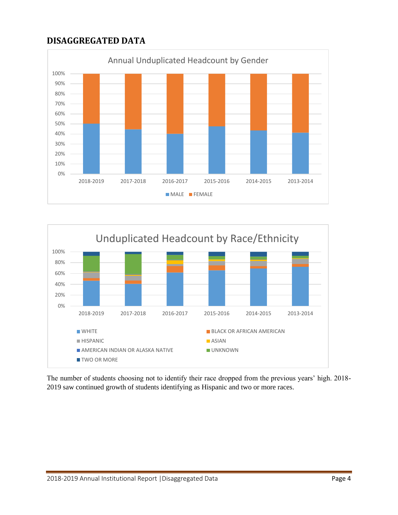# **DISAGGREGATED DATA**





The number of students choosing not to identify their race dropped from the previous years' high. 2018- 2019 saw continued growth of students identifying as Hispanic and two or more races.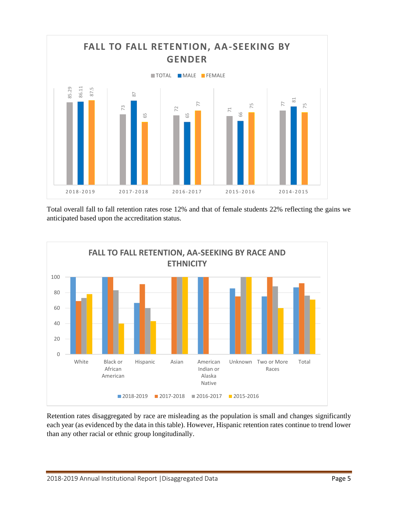

Total overall fall to fall retention rates rose 12% and that of female students 22% reflecting the gains we anticipated based upon the accreditation status.



Retention rates disaggregated by race are misleading as the population is small and changes significantly each year (as evidenced by the data in this table). However, Hispanic retention rates continue to trend lower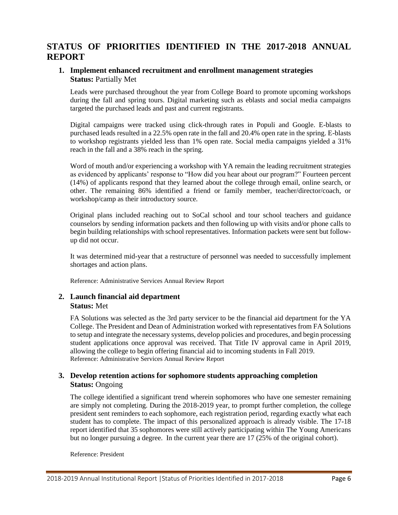## <span id="page-7-0"></span>**STATUS OF PRIORITIES IDENTIFIED IN THE 2017-2018 ANNUAL REPORT**

#### **1. Implement enhanced recruitment and enrollment management strategies Status:** Partially Met

Leads were purchased throughout the year from College Board to promote upcoming workshops during the fall and spring tours. Digital marketing such as eblasts and social media campaigns targeted the purchased leads and past and current registrants.

Digital campaigns were tracked using click-through rates in Populi and Google. E-blasts to purchased leads resulted in a 22.5% open rate in the fall and 20.4% open rate in the spring. E-blasts to workshop registrants yielded less than 1% open rate. Social media campaigns yielded a 31% reach in the fall and a 38% reach in the spring.

Word of mouth and/or experiencing a workshop with YA remain the leading recruitment strategies as evidenced by applicants' response to "How did you hear about our program?" Fourteen percent (14%) of applicants respond that they learned about the college through email, online search, or other. The remaining 86% identified a friend or family member, teacher/director/coach, or workshop/camp as their introductory source.

Original plans included reaching out to SoCal school and tour school teachers and guidance counselors by sending information packets and then following up with visits and/or phone calls to begin building relationships with school representatives. Information packets were sent but followup did not occur.

It was determined mid-year that a restructure of personnel was needed to successfully implement shortages and action plans.

Reference: Administrative Services Annual Review Report

#### **2. Launch financial aid department Status:** Met

FA Solutions was selected as the 3rd party servicer to be the financial aid department for the YA College. The President and Dean of Administration worked with representatives from FA Solutions to setup and integrate the necessary systems, develop policies and procedures, and begin processing student applications once approval was received. That Title IV approval came in April 2019, allowing the college to begin offering financial aid to incoming students in Fall 2019. Reference: Administrative Services Annual Review Report

## **3. Develop retention actions for sophomore students approaching completion Status:** Ongoing

The college identified a significant trend wherein sophomores who have one semester remaining are simply not completing. During the 2018-2019 year, to prompt further completion, the college president sent reminders to each sophomore, each registration period, regarding exactly what each student has to complete. The impact of this personalized approach is already visible. The 17-18 report identified that 35 sophomores were still actively participating within The Young Americans but no longer pursuing a degree. In the current year there are 17 (25% of the original cohort).

Reference: President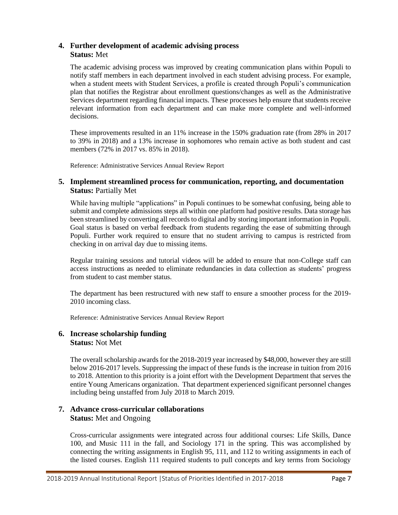### **4. Further development of academic advising process Status:** Met

The academic advising process was improved by creating communication plans within Populi to notify staff members in each department involved in each student advising process. For example, when a student meets with Student Services, a profile is created through Populi's communication plan that notifies the Registrar about enrollment questions/changes as well as the Administrative Services department regarding financial impacts. These processes help ensure that students receive relevant information from each department and can make more complete and well-informed decisions.

These improvements resulted in an 11% increase in the 150% graduation rate (from 28% in 2017 to 39% in 2018) and a 13% increase in sophomores who remain active as both student and cast members (72% in 2017 vs. 85% in 2018).

Reference: Administrative Services Annual Review Report

#### **5. Implement streamlined process for communication, reporting, and documentation Status: Partially Met**

While having multiple "applications" in Populi continues to be somewhat confusing, being able to submit and complete admissions steps all within one platform had positive results. Data storage has been streamlined by converting all records to digital and by storing important information in Populi. Goal status is based on verbal feedback from students regarding the ease of submitting through Populi. Further work required to ensure that no student arriving to campus is restricted from checking in on arrival day due to missing items.

Regular training sessions and tutorial videos will be added to ensure that non-College staff can access instructions as needed to eliminate redundancies in data collection as students' progress from student to cast member status.

The department has been restructured with new staff to ensure a smoother process for the 2019- 2010 incoming class.

Reference: Administrative Services Annual Review Report

#### **6. Increase scholarship funding Status:** Not Met

The overall scholarship awards for the 2018-2019 year increased by \$48,000, however they are still below 2016-2017 levels. Suppressing the impact of these funds is the increase in tuition from 2016 to 2018. Attention to this priority is a joint effort with the Development Department that serves the entire Young Americans organization. That department experienced significant personnel changes including being unstaffed from July 2018 to March 2019.

#### **7. Advance cross-curricular collaborations Status:** Met and Ongoing

Cross-curricular assignments were integrated across four additional courses: Life Skills, Dance 100, and Music 111 in the fall, and Sociology 171 in the spring. This was accomplished by connecting the writing assignments in English 95, 111, and 112 to writing assignments in each of the listed courses. English 111 required students to pull concepts and key terms from Sociology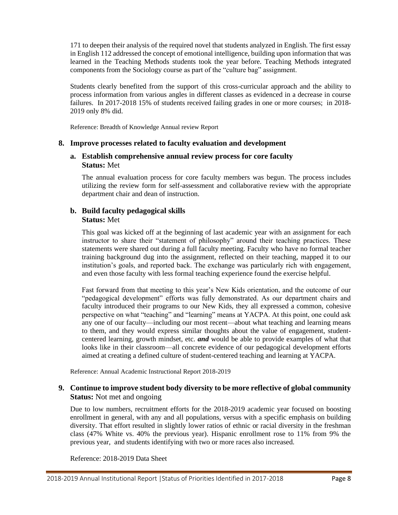171 to deepen their analysis of the required novel that students analyzed in English. The first essay in English 112 addressed the concept of emotional intelligence, building upon information that was learned in the Teaching Methods students took the year before. Teaching Methods integrated components from the Sociology course as part of the "culture bag" assignment.

Students clearly benefited from the support of this cross-curricular approach and the ability to process information from various angles in different classes as evidenced in a decrease in course failures. In 2017-2018 15% of students received failing grades in one or more courses; in 2018- 2019 only 8% did.

Reference: Breadth of Knowledge Annual review Report

#### **8. Improve processes related to faculty evaluation and development**

#### **a. Establish comprehensive annual review process for core faculty Status:** Met

The annual evaluation process for core faculty members was begun. The process includes utilizing the review form for self-assessment and collaborative review with the appropriate department chair and dean of instruction.

### **b. Build faculty pedagogical skills Status:** Met

This goal was kicked off at the beginning of last academic year with an assignment for each instructor to share their "statement of philosophy" around their teaching practices. These statements were shared out during a full faculty meeting. Faculty who have no formal teacher training background dug into the assignment, reflected on their teaching, mapped it to our institution's goals, and reported back. The exchange was particularly rich with engagement, and even those faculty with less formal teaching experience found the exercise helpful.

Fast forward from that meeting to this year's New Kids orientation, and the outcome of our "pedagogical development" efforts was fully demonstrated. As our department chairs and faculty introduced their programs to our New Kids, they all expressed a common, cohesive perspective on what "teaching" and "learning" means at YACPA. At this point, one could ask any one of our faculty—including our most recent—about what teaching and learning means to them, and they would express similar thoughts about the value of engagement, studentcentered learning, growth mindset, etc. *and* would be able to provide examples of what that looks like in their classroom—all concrete evidence of our pedagogical development efforts aimed at creating a defined culture of student-centered teaching and learning at YACPA.

Reference: Annual Academic Instructional Report 2018-2019

## **9. Continue to improve student body diversity to be more reflective of global community Status:** Not met and ongoing

Due to low numbers, recruitment efforts for the 2018-2019 academic year focused on boosting enrollment in general, with any and all populations, versus with a specific emphasis on building diversity. That effort resulted in slightly lower ratios of ethnic or racial diversity in the freshman class (47% White vs. 40% the previous year). Hispanic enrollment rose to 11% from 9% the previous year, and students identifying with two or more races also increased.

Reference: 2018-2019 Data Sheet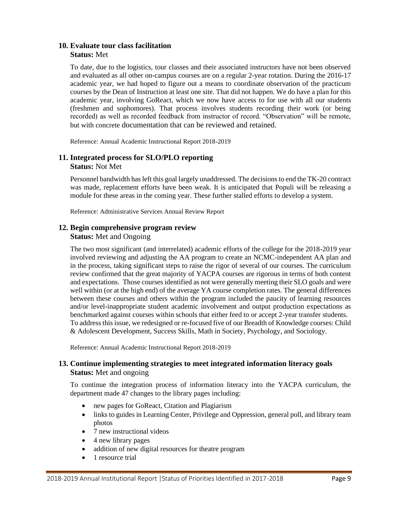#### **10. Evaluate tour class facilitation Status:** Met

To date, due to the logistics, tour classes and their associated instructors have not been observed and evaluated as all other on-campus courses are on a regular 2-year rotation. During the 2016-17 academic year, we had hoped to figure out a means to coordinate observation of the practicum courses by the Dean of Instruction at least one site. That did not happen. We do have a plan for this academic year, involving GoReact, which we now have access to for use with all our students (freshmen and sophomores). That process involves students recording their work (or being recorded) as well as recorded feedback from instructor of record. "Observation" will be remote, but with concrete documentation that can be reviewed and retained.

Reference: Annual Academic Instructional Report 2018-2019

#### **11. Integrated process for SLO/PLO reporting Status:** Not Met

Personnel bandwidth has left this goal largely unaddressed. The decisions to end the TK-20 contract was made, replacement efforts have been weak. It is anticipated that Populi will be releasing a module for these areas in the coming year. These further stalled efforts to develop a system.

Reference: Administrative Services Annual Review Report

# **12. Begin comprehensive program review**

## **Status:** Met and Ongoing

The two most significant (and interrelated) academic efforts of the college for the 2018-2019 year involved reviewing and adjusting the AA program to create an NCMC-independent AA plan and in the process, taking significant steps to raise the rigor of several of our courses. The curriculum review confirmed that the great majority of YACPA courses are rigorous in terms of both content and expectations. Those courses identified as not were generally meeting their SLO goals and were well within (or at the high end) of the average YA course completion rates. The general differences between these courses and others within the program included the paucity of learning resources and/or level-inappropriate student academic involvement and output production expectations as benchmarked against courses within schools that either feed to or accept 2-year transfer students. To address this issue, we redesigned or re-focused five of our Breadth of Knowledge courses: Child & Adolescent Development, Success Skills, Math in Society, Psychology, and Sociology.

Reference: Annual Academic Instructional Report 2018-2019

### **13. Continue implementing strategies to meet integrated information literacy goals Status:** Met and ongoing

To continue the integration process of information literacy into the YACPA curriculum, the department made 47 changes to the library pages including:

- new pages for GoReact, Citation and Plagiarism
- links to guides in Learning Center, Privilege and Oppression, general poll, and library team photos
- 7 new instructional videos
- 4 new library pages
- addition of new digital resources for theatre program
- 1 resource trial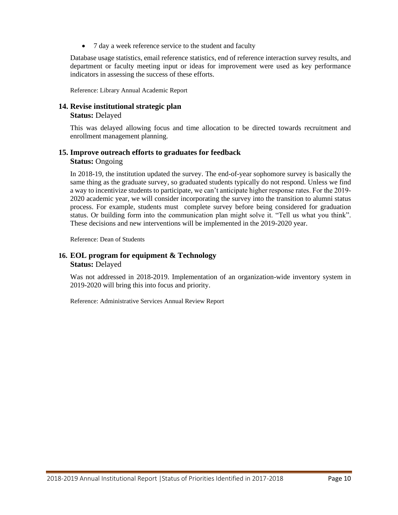• 7 day a week reference service to the student and faculty

Database usage statistics, email reference statistics, end of reference interaction survey results, and department or faculty meeting input or ideas for improvement were used as key performance indicators in assessing the success of these efforts.

Reference: Library Annual Academic Report

## **14. Revise institutional strategic plan**

#### **Status:** Delayed

This was delayed allowing focus and time allocation to be directed towards recruitment and enrollment management planning.

#### **15. Improve outreach efforts to graduates for feedback Status:** Ongoing

In 2018-19, the institution updated the survey. The end-of-year sophomore survey is basically the same thing as the graduate survey, so graduated students typically do not respond. Unless we find a way to incentivize students to participate, we can't anticipate higher response rates. For the 2019- 2020 academic year, we will consider incorporating the survey into the transition to alumni status process. For example, students must complete survey before being considered for graduation status. Or building form into the communication plan might solve it. "Tell us what you think". These decisions and new interventions will be implemented in the 2019-2020 year.

Reference: Dean of Students

#### **16. EOL program for equipment & Technology Status:** Delayed

Was not addressed in 2018-2019. Implementation of an organization-wide inventory system in 2019-2020 will bring this into focus and priority.

Reference: Administrative Services Annual Review Report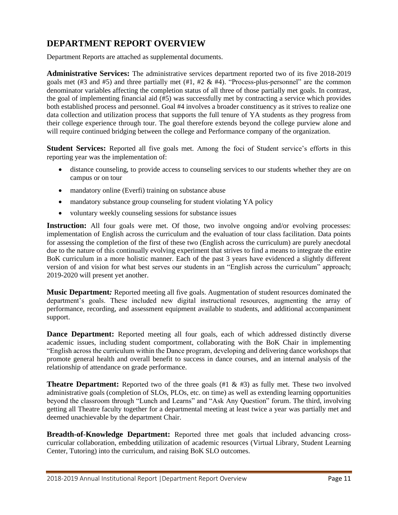## <span id="page-12-0"></span>**DEPARTMENT REPORT OVERVIEW**

Department Reports are attached as supplemental documents.

**Administrative Services:** The administrative services department reported two of its five 2018-2019 goals met (#3 and #5) and three partially met (#1, #2 & #4). "Process-plus-personnel" are the common denominator variables affecting the completion status of all three of those partially met goals. In contrast, the goal of implementing financial aid (#5) was successfully met by contracting a service which provides both established process and personnel. Goal #4 involves a broader constituency as it strives to realize one data collection and utilization process that supports the full tenure of YA students as they progress from their college experience through tour. The goal therefore extends beyond the college purview alone and will require continued bridging between the college and Performance company of the organization.

**Student Services:** Reported all five goals met. Among the foci of Student service's efforts in this reporting year was the implementation of:

- distance counseling, to provide access to counseling services to our students whether they are on campus or on tour
- mandatory online (Everfi) training on substance abuse
- mandatory substance group counseling for student violating YA policy
- voluntary weekly counseling sessions for substance issues

**Instruction:** All four goals were met. Of those, two involve ongoing and/or evolving processes: implementation of English across the curriculum and the evaluation of tour class facilitation. Data points for assessing the completion of the first of these two (English across the curriculum) are purely anecdotal due to the nature of this continually evolving experiment that strives to find a means to integrate the entire BoK curriculum in a more holistic manner. Each of the past 3 years have evidenced a slightly different version of and vision for what best serves our students in an "English across the curriculum" approach; 2019-2020 will present yet another.

**Music Department***:* Reported meeting all five goals. Augmentation of student resources dominated the department's goals. These included new digital instructional resources, augmenting the array of performance, recording, and assessment equipment available to students, and additional accompaniment support.

**Dance Department:** Reported meeting all four goals, each of which addressed distinctly diverse academic issues, including student comportment, collaborating with the BoK Chair in implementing "English across the curriculum within the Dance program, developing and delivering dance workshops that promote general health and overall benefit to success in dance courses, and an internal analysis of the relationship of attendance on grade performance.

**Theatre Department:** Reported two of the three goals (#1 & #3) as fully met. These two involved administrative goals (completion of SLOs, PLOs, etc. on time) as well as extending learning opportunities beyond the classroom through "Lunch and Learns" and "Ask Any Question" forum. The third, involving getting all Theatre faculty together for a departmental meeting at least twice a year was partially met and deemed unachievable by the department Chair.

**Breadth-of-Knowledge Department:** Reported three met goals that included advancing crosscurricular collaboration, embedding utilization of academic resources (Virtual Library, Student Learning Center, Tutoring) into the curriculum, and raising BoK SLO outcomes.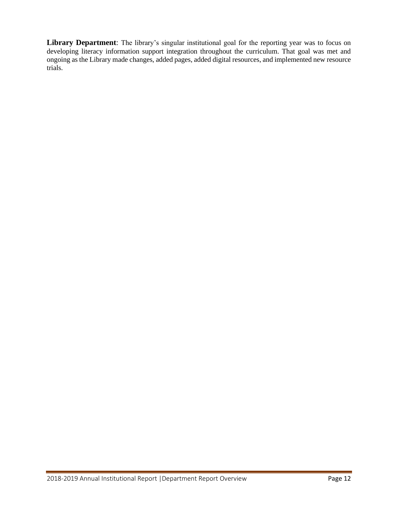**Library Department**: The library's singular institutional goal for the reporting year was to focus on developing literacy information support integration throughout the curriculum. That goal was met and ongoing as the Library made changes, added pages, added digital resources, and implemented new resource trials.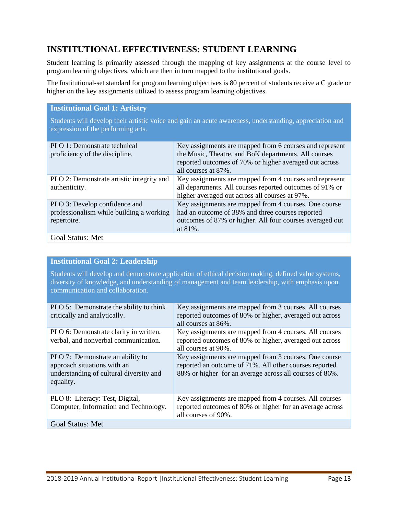# <span id="page-14-0"></span>**INSTITUTIONAL EFFECTIVENESS: STUDENT LEARNING**

Student learning is primarily assessed through the mapping of key assignments at the course level to program learning objectives, which are then in turn mapped to the institutional goals.

The Institutional-set standard for program learning objectives is 80 percent of students receive a C grade or higher on the key assignments utilized to assess program learning objectives.

#### **Institutional Goal 1: Artistry** Students will develop their artistic voice and gain an acute awareness, understanding, appreciation and expression of the performing arts. PLO 1: Demonstrate technical proficiency of the discipline. Key assignments are mapped from 6 courses and represent the Music, Theatre, and BoK departments. All courses reported outcomes of 70% or higher averaged out across all courses at 87%. PLO 2: Demonstrate artistic integrity and authenticity. Key assignments are mapped from 4 courses and represent all departments. All courses reported outcomes of 91% or higher averaged out across all courses at 97%. PLO 3: Develop confidence and professionalism while building a working repertoire. Key assignments are mapped from 4 courses. One course had an outcome of 38% and three courses reported outcomes of 87% or higher. All four courses averaged out at 81%. Goal Status: Met

### **Institutional Goal 2: Leadership**

Students will develop and demonstrate application of ethical decision making, defined value systems, diversity of knowledge, and understanding of management and team leadership, with emphasis upon communication and collaboration.

| PLO 5: Demonstrate the ability to think<br>critically and analytically.                                                 | Key assignments are mapped from 3 courses. All courses<br>reported outcomes of 80% or higher, averaged out across<br>all courses at 86%.                                   |
|-------------------------------------------------------------------------------------------------------------------------|----------------------------------------------------------------------------------------------------------------------------------------------------------------------------|
| PLO 6: Demonstrate clarity in written,<br>verbal, and nonverbal communication.                                          | Key assignments are mapped from 4 courses. All courses<br>reported outcomes of 80% or higher, averaged out across<br>all courses at 90%.                                   |
| PLO 7: Demonstrate an ability to<br>approach situations with an<br>understanding of cultural diversity and<br>equality. | Key assignments are mapped from 3 courses. One course<br>reported an outcome of 71%. All other courses reported<br>88% or higher for an average across all courses of 86%. |
| PLO 8: Literacy: Test, Digital,<br>Computer, Information and Technology.                                                | Key assignments are mapped from 4 courses. All courses<br>reported outcomes of 80% or higher for an average across<br>all courses of 90%.                                  |
| Goal Status: Met                                                                                                        |                                                                                                                                                                            |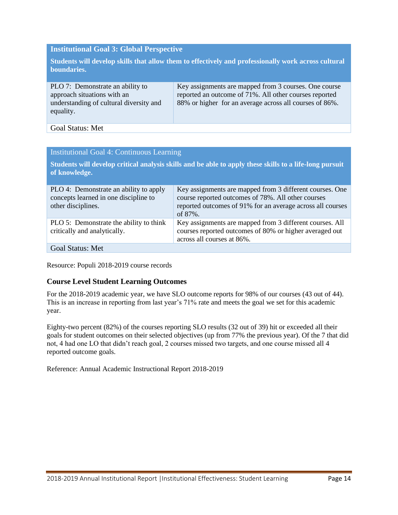#### **Institutional Goal 3: Global Perspective**

**Students will develop skills that allow them to effectively and professionally work across cultural boundaries.**

| PLO 7: Demonstrate an ability to<br>approach situations with an<br>understanding of cultural diversity and<br>equality. | Key assignments are mapped from 3 courses. One course<br>reported an outcome of 71%. All other courses reported<br>88% or higher for an average across all courses of 86%. |
|-------------------------------------------------------------------------------------------------------------------------|----------------------------------------------------------------------------------------------------------------------------------------------------------------------------|
|-------------------------------------------------------------------------------------------------------------------------|----------------------------------------------------------------------------------------------------------------------------------------------------------------------------|

#### Goal Status: Met

#### Institutional Goal 4: Continuous Learning

**Students will develop critical analysis skills and be able to apply these skills to a life-long pursuit of knowledge.**

| PLO 4: Demonstrate an ability to apply                                  | Key assignments are mapped from 3 different courses. One                                                                                          |
|-------------------------------------------------------------------------|---------------------------------------------------------------------------------------------------------------------------------------------------|
| concepts learned in one discipline to                                   | course reported outcomes of 78%. All other courses                                                                                                |
| other disciplines.                                                      | reported outcomes of 91% for an average across all courses                                                                                        |
|                                                                         | of 87%.                                                                                                                                           |
| PLO 5: Demonstrate the ability to think<br>critically and analytically. | Key assignments are mapped from 3 different courses. All<br>courses reported outcomes of 80% or higher averaged out<br>across all courses at 86%. |
| <b>Goal Status: Met</b>                                                 |                                                                                                                                                   |

Resource: Populi 2018-2019 course records

#### **Course Level Student Learning Outcomes**

For the 2018-2019 academic year, we have SLO outcome reports for 98% of our courses (43 out of 44). This is an increase in reporting from last year's 71% rate and meets the goal we set for this academic year.

Eighty-two percent (82%) of the courses reporting SLO results (32 out of 39) hit or exceeded all their goals for student outcomes on their selected objectives (up from 77% the previous year). Of the 7 that did not, 4 had one LO that didn't reach goal, 2 courses missed two targets, and one course missed all 4 reported outcome goals.

Reference: Annual Academic Instructional Report 2018-2019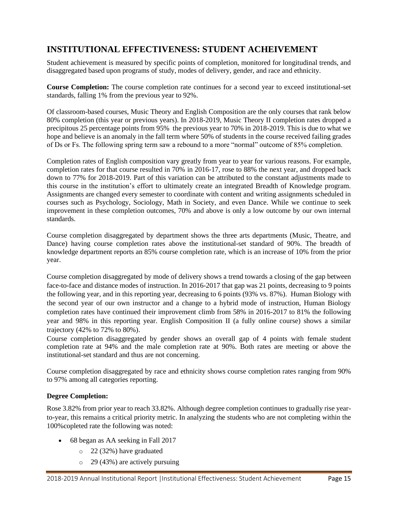# <span id="page-16-0"></span>**INSTITUTIONAL EFFECTIVENESS: STUDENT ACHEIVEMENT**

Student achievement is measured by specific points of completion, monitored for longitudinal trends, and disaggregated based upon programs of study, modes of delivery, gender, and race and ethnicity.

**Course Completion:** The course completion rate continues for a second year to exceed institutional-set standards, falling 1% from the previous year to 92%.

Of classroom-based courses, Music Theory and English Composition are the only courses that rank below 80% completion (this year or previous years). In 2018-2019, Music Theory II completion rates dropped a precipitous 25 percentage points from 95% the previous year to 70% in 2018-2019. This is due to what we hope and believe is an anomaly in the fall term where 50% of students in the course received failing grades of Ds or Fs. The following spring term saw a rebound to a more "normal" outcome of 85% completion.

Completion rates of English composition vary greatly from year to year for various reasons. For example, completion rates for that course resulted in 70% in 2016-17, rose to 88% the next year, and dropped back down to 77% for 2018-2019. Part of this variation can be attributed to the constant adjustments made to this course in the institution's effort to ultimately create an integrated Breadth of Knowledge program. Assignments are changed every semester to coordinate with content and writing assignments scheduled in courses such as Psychology, Sociology, Math in Society, and even Dance. While we continue to seek improvement in these completion outcomes, 70% and above is only a low outcome by our own internal standards.

Course completion disaggregated by department shows the three arts departments (Music, Theatre, and Dance) having course completion rates above the institutional-set standard of 90%. The breadth of knowledge department reports an 85% course completion rate, which is an increase of 10% from the prior year.

Course completion disaggregated by mode of delivery shows a trend towards a closing of the gap between face-to-face and distance modes of instruction. In 2016-2017 that gap was 21 points, decreasing to 9 points the following year, and in this reporting year, decreasing to 6 points (93% vs. 87%). Human Biology with the second year of our own instructor and a change to a hybrid mode of instruction, Human Biology completion rates have continued their improvement climb from 58% in 2016-2017 to 81% the following year and 98% in this reporting year. English Composition II (a fully online course) shows a similar trajectory (42% to 72% to 80%).

Course completion disaggregated by gender shows an overall gap of 4 points with female student completion rate at 94% and the male completion rate at 90%. Both rates are meeting or above the institutional-set standard and thus are not concerning.

Course completion disaggregated by race and ethnicity shows course completion rates ranging from 90% to 97% among all categories reporting.

#### **Degree Completion:**

Rose 3.82% from prior year to reach 33.82%. Although degree completion continues to gradually rise yearto-year, this remains a critical priority metric. In analyzing the students who are not completing within the 100%copleted rate the following was noted:

- 68 began as AA seeking in Fall 2017
	- o 22 (32%) have graduated
	- o 29 (43%) are actively pursuing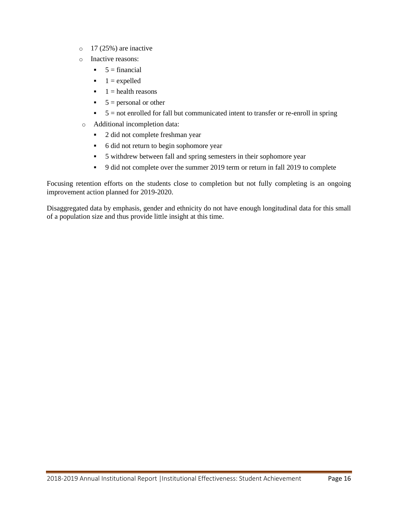- $\circ$  17 (25%) are inactive
- o Inactive reasons:
	- $\bullet$  5 = financial
	- $\blacksquare$  1 = expelled
	- $\blacksquare$  1 = health reasons
	- $\bullet$  5 = personal or other
	- $\bullet$  5 = not enrolled for fall but communicated intent to transfer or re-enroll in spring
- o Additional incompletion data:
	- 2 did not complete freshman year
	- 6 did not return to begin sophomore year
	- 5 withdrew between fall and spring semesters in their sophomore year
	- 9 did not complete over the summer 2019 term or return in fall 2019 to complete

Focusing retention efforts on the students close to completion but not fully completing is an ongoing improvement action planned for 2019-2020.

Disaggregated data by emphasis, gender and ethnicity do not have enough longitudinal data for this small of a population size and thus provide little insight at this time.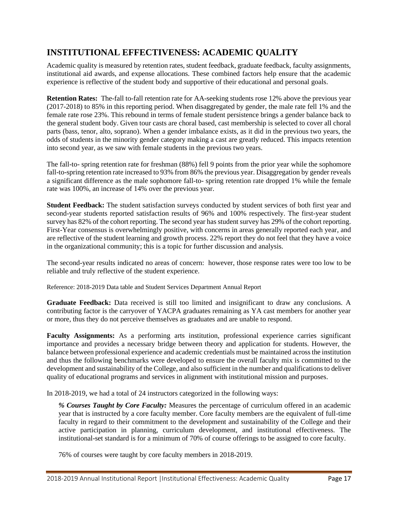# <span id="page-18-0"></span>**INSTITUTIONAL EFFECTIVENESS: ACADEMIC QUALITY**

Academic quality is measured by retention rates, student feedback, graduate feedback, faculty assignments, institutional aid awards, and expense allocations. These combined factors help ensure that the academic experience is reflective of the student body and supportive of their educational and personal goals.

**Retention Rates:** The-fall to-fall retention rate for AA-seeking students rose 12% above the previous year (2017-2018) to 85% in this reporting period. When disaggregated by gender, the male rate fell 1% and the female rate rose 23%. This rebound in terms of female student persistence brings a gender balance back to the general student body. Given tour casts are choral based, cast membership is selected to cover all choral parts (bass, tenor, alto, soprano). When a gender imbalance exists, as it did in the previous two years, the odds of students in the minority gender category making a cast are greatly reduced. This impacts retention into second year, as we saw with female students in the previous two years.

The fall-to- spring retention rate for freshman (88%) fell 9 points from the prior year while the sophomore fall-to-spring retention rate increased to 93% from 86% the previous year. Disaggregation by gender reveals a significant difference as the male sophomore fall-to- spring retention rate dropped 1% while the female rate was 100%, an increase of 14% over the previous year.

**Student Feedback:** The student satisfaction surveys conducted by student services of both first year and second-year students reported satisfaction results of 96% and 100% respectively. The first-year student survey has 82% of the cohort reporting. The second year has student survey has 29% of the cohort reporting. First-Year consensus is overwhelmingly positive, with concerns in areas generally reported each year, and are reflective of the student learning and growth process. 22% report they do not feel that they have a voice in the organizational community; this is a topic for further discussion and analysis.

The second-year results indicated no areas of concern: however, those response rates were too low to be reliable and truly reflective of the student experience.

Reference: 2018-2019 Data table and Student Services Department Annual Report

**Graduate Feedback:** Data received is still too limited and insignificant to draw any conclusions. A contributing factor is the carryover of YACPA graduates remaining as YA cast members for another year or more, thus they do not perceive themselves as graduates and are unable to respond.

**Faculty Assignments:** As a performing arts institution, professional experience carries significant importance and provides a necessary bridge between theory and application for students. However, the balance between professional experience and academic credentials must be maintained across the institution and thus the following benchmarks were developed to ensure the overall faculty mix is committed to the development and sustainability of the College, and also sufficient in the number and qualifications to deliver quality of educational programs and services in alignment with institutional mission and purposes.

In 2018-2019, we had a total of 24 instructors categorized in the following ways:

*% Courses Taught by Core Faculty:* Measures the percentage of curriculum offered in an academic year that is instructed by a core faculty member. Core faculty members are the equivalent of full-time faculty in regard to their commitment to the development and sustainability of the College and their active participation in planning, curriculum development, and institutional effectiveness. The institutional-set standard is for a minimum of 70% of course offerings to be assigned to core faculty.

76% of courses were taught by core faculty members in 2018-2019.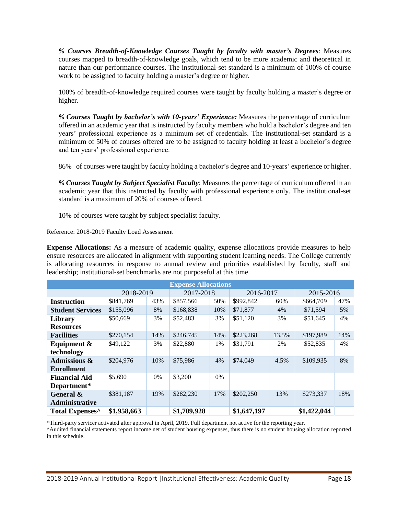*% Courses Breadth-of-Knowledge Courses Taught by faculty with master's Degrees*: Measures courses mapped to breadth-of-knowledge goals, which tend to be more academic and theoretical in nature than our performance courses. The institutional-set standard is a minimum of 100% of course work to be assigned to faculty holding a master's degree or higher.

100% of breadth-of-knowledge required courses were taught by faculty holding a master's degree or higher.

*% Courses Taught by bachelor's with 10-years' Experience:* Measures the percentage of curriculum offered in an academic year that is instructed by faculty members who hold a bachelor's degree and ten years' professional experience as a minimum set of credentials. The institutional-set standard is a minimum of 50% of courses offered are to be assigned to faculty holding at least a bachelor's degree and ten years' professional experience.

86% of courses were taught by faculty holding a bachelor's degree and 10-years' experience or higher.

*% Courses Taught by Subject Specialist Faculty*: Measures the percentage of curriculum offered in an academic year that this instructed by faculty with professional experience only. The institutional-set standard is a maximum of 20% of courses offered.

10% of courses were taught by subject specialist faculty.

Reference: 2018-2019 Faculty Load Assessment

**Expense Allocations:** As a measure of academic quality, expense allocations provide measures to help ensure resources are allocated in alignment with supporting student learning needs. The College currently is allocating resources in response to annual review and priorities established by faculty, staff and leadership; institutional-set benchmarks are not purposeful at this time.

| <b>Expense Allocations</b>  |             |       |             |     |             |       |             |     |
|-----------------------------|-------------|-------|-------------|-----|-------------|-------|-------------|-----|
|                             | 2018-2019   |       | 2017-2018   |     | 2016-2017   |       | 2015-2016   |     |
| <b>Instruction</b>          | \$841,769   | 43%   | \$857,566   | 50% | \$992,842   | 60%   | \$664,709   | 47% |
| <b>Student Services</b>     | \$155,096   | 8%    | \$168,838   | 10% | \$71,877    | 4%    | \$71,594    | 5%  |
| Library                     | \$50,669    | 3%    | \$52,483    | 3%  | \$51,120    | 3%    | \$51,645    | 4%  |
| <b>Resources</b>            |             |       |             |     |             |       |             |     |
| <b>Facilities</b>           | \$270,154   | 14%   | \$246,745   | 14% | \$223,268   | 13.5% | \$197,989   | 14% |
| Equipment &                 | \$49,122    | 3%    | \$22,880    | 1%  | \$31,791    | 2%    | \$52,835    | 4%  |
| technology                  |             |       |             |     |             |       |             |     |
| <b>Admissions &amp;</b>     | \$204,976   | 10%   | \$75,986    | 4%  | \$74,049    | 4.5%  | \$109,935   | 8%  |
| <b>Enrollment</b>           |             |       |             |     |             |       |             |     |
| <b>Financial Aid</b>        | \$5,690     | $0\%$ | \$3,200     | 0%  |             |       |             |     |
| Department*                 |             |       |             |     |             |       |             |     |
| General &                   | \$381,187   | 19%   | \$282,230   | 17% | \$202,250   | 13%   | \$273,337   | 18% |
| <b>Administrative</b>       |             |       |             |     |             |       |             |     |
| Total Expenses <sup>^</sup> | \$1,958,663 |       | \$1,709,928 |     | \$1,647,197 |       | \$1,422,044 |     |

\*Third-party servicer activated after approval in April, 2019. Full department not active for the reporting year.

^Audited financial statements report income net of student housing expenses, thus there is no student housing allocation reported in this schedule.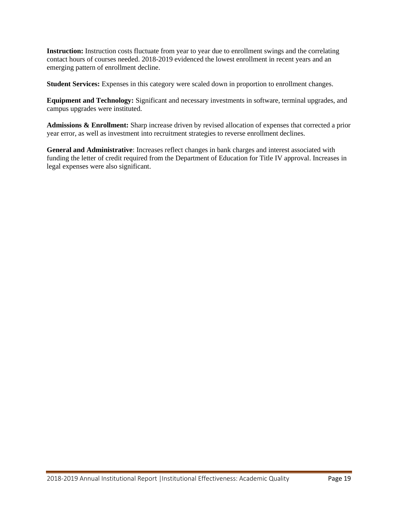**Instruction:** Instruction costs fluctuate from year to year due to enrollment swings and the correlating contact hours of courses needed. 2018-2019 evidenced the lowest enrollment in recent years and an emerging pattern of enrollment decline.

**Student Services:** Expenses in this category were scaled down in proportion to enrollment changes.

**Equipment and Technology:** Significant and necessary investments in software, terminal upgrades, and campus upgrades were instituted.

**Admissions & Enrollment:** Sharp increase driven by revised allocation of expenses that corrected a prior year error, as well as investment into recruitment strategies to reverse enrollment declines.

**General and Administrative**: Increases reflect changes in bank charges and interest associated with funding the letter of credit required from the Department of Education for Title IV approval. Increases in legal expenses were also significant.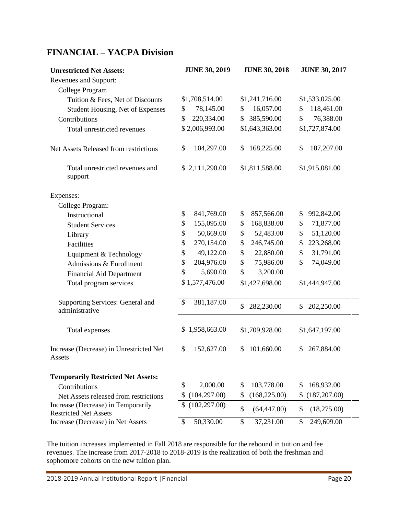# <span id="page-21-0"></span>**FINANCIAL – YACPA Division**

| <b>Unrestricted Net Assets:</b>            | <b>JUNE 30, 2019</b> | <b>JUNE 30, 2018</b> | <b>JUNE 30, 2017</b> |  |
|--------------------------------------------|----------------------|----------------------|----------------------|--|
| Revenues and Support:                      |                      |                      |                      |  |
| College Program                            |                      |                      |                      |  |
| Tuition & Fees, Net of Discounts           | \$1,708,514.00       | \$1,241,716.00       | \$1,533,025.00       |  |
| Student Housing, Net of Expenses           | 78,145.00            | 16,057.00            | 118,461.00           |  |
|                                            | \$                   | \$                   | \$                   |  |
| Contributions                              | \$                   | 385,590.00           | \$                   |  |
|                                            | 220,334.00           | \$                   | 76,388.00            |  |
| Total unrestricted revenues                | \$2,006,993.00       | \$1,643,363.00       | \$1,727,874.00       |  |
| Net Assets Released from restrictions      | 104,297.00           | 168,225.00           | 187,207.00           |  |
|                                            | \$                   | \$                   | \$                   |  |
| Total unrestricted revenues and<br>support | \$2,111,290.00       | \$1,811,588.00       | \$1,915,081.00       |  |
| Expenses:                                  |                      |                      |                      |  |
| College Program:                           |                      |                      |                      |  |
| Instructional                              | \$                   | \$                   | 992,842.00           |  |
|                                            | 841,769.00           | 857,566.00           | \$                   |  |
| <b>Student Services</b>                    | \$                   | \$                   | 71,877.00            |  |
|                                            | 155,095.00           | 168,838.00           | \$                   |  |
| Library                                    | 50,669.00            | \$                   | 51,120.00            |  |
|                                            | \$                   | 52,483.00            | \$                   |  |
| Facilities                                 | \$                   | \$                   | 223,268.00           |  |
|                                            | 270,154.00           | 246,745.00           | \$                   |  |
| Equipment & Technology                     | \$                   | \$                   | 31,791.00            |  |
|                                            | 49,122.00            | 22,880.00            | \$                   |  |
| Admissions & Enrollment                    | \$                   | \$                   | 74,049.00            |  |
|                                            | 204,976.00           | 75,986.00            | \$                   |  |
| <b>Financial Aid Department</b>            | \$<br>5,690.00       | 3,200.00<br>\$       |                      |  |
| Total program services                     | \$1,577,476.00       | \$1,427,698.00       | \$1,444,947.00       |  |
|                                            |                      |                      |                      |  |
| Supporting Services: General and           | 381,187.00           | \$                   | \$                   |  |
| administrative                             | \$                   | 282,230.00           | 202,250.00           |  |
| Total expenses                             | 1,958,663.00         | \$1,709,928.00       | \$1,647,197.00       |  |
|                                            |                      |                      |                      |  |
| Increase (Decrease) in Unrestricted Net    | \$                   | 101,660.00           | 267,884.00           |  |
| Assets                                     | 152,627.00           | \$                   | \$                   |  |
| <b>Temporarily Restricted Net Assets:</b>  |                      |                      |                      |  |
| Contributions                              | \$                   | 103,778.00           | 168,932.00           |  |
|                                            | 2,000.00             | \$                   | \$                   |  |
| Net Assets released from restrictions      | \$                   | (168, 225.00)        | (187, 207.00)        |  |
|                                            | (104, 297.00)        | \$                   | \$                   |  |
| Increase (Decrease) in Temporarily         | \$                   | \$                   | \$                   |  |
| <b>Restricted Net Assets</b>               | (102, 297.00)        | (64, 447.00)         | (18,275.00)          |  |
| Increase (Decrease) in Net Assets          | 50,330.00            | \$                   | $\mathbb{S}$         |  |
|                                            | $\mathcal{S}$        | 37,231.00            | 249,609.00           |  |

The tuition increases implemented in Fall 2018 are responsible for the rebound in tuition and fee revenues. The increase from 2017-2018 to 2018-2019 is the realization of both the freshman and sophomore cohorts on the new tuition plan.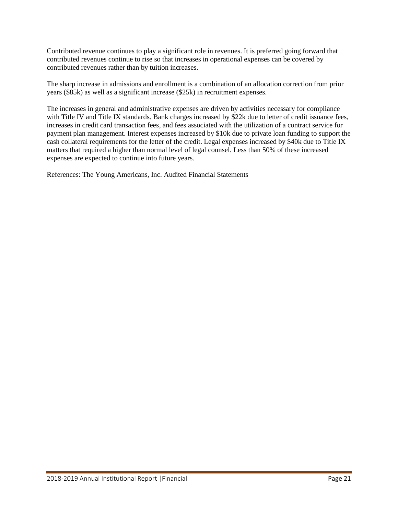Contributed revenue continues to play a significant role in revenues. It is preferred going forward that contributed revenues continue to rise so that increases in operational expenses can be covered by contributed revenues rather than by tuition increases.

The sharp increase in admissions and enrollment is a combination of an allocation correction from prior years (\$85k) as well as a significant increase (\$25k) in recruitment expenses.

The increases in general and administrative expenses are driven by activities necessary for compliance with Title IV and Title IX standards. Bank charges increased by \$22k due to letter of credit issuance fees, increases in credit card transaction fees, and fees associated with the utilization of a contract service for payment plan management. Interest expenses increased by \$10k due to private loan funding to support the cash collateral requirements for the letter of the credit. Legal expenses increased by \$40k due to Title IX matters that required a higher than normal level of legal counsel. Less than 50% of these increased expenses are expected to continue into future years.

References: The Young Americans, Inc. Audited Financial Statements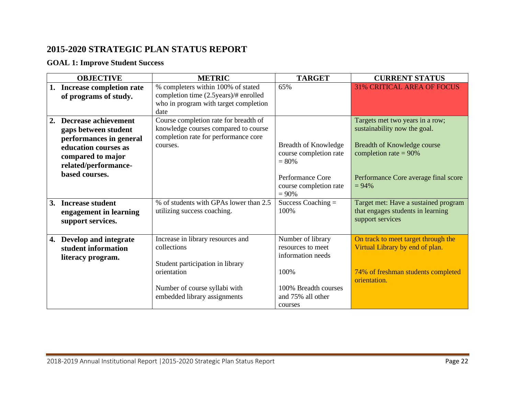## **2015-2020 STRATEGIC PLAN STATUS REPORT**

## **GOAL 1: Improve Student Success**

<span id="page-23-0"></span>

| <b>OBJECTIVE</b>                                                                                                                                                            | <b>METRIC</b>                                                                                                                                                        | <b>TARGET</b>                                                                                                               | <b>CURRENT STATUS</b>                                                                                                                                                          |
|-----------------------------------------------------------------------------------------------------------------------------------------------------------------------------|----------------------------------------------------------------------------------------------------------------------------------------------------------------------|-----------------------------------------------------------------------------------------------------------------------------|--------------------------------------------------------------------------------------------------------------------------------------------------------------------------------|
| 1. Increase completion rate<br>of programs of study.                                                                                                                        | % completers within 100% of stated<br>completion time (2.5years)/# enrolled<br>who in program with target completion<br>date                                         | 65%                                                                                                                         | <b>31% CRITICAL AREA OF FOCUS</b>                                                                                                                                              |
| <b>Decrease achievement</b><br>2.<br>gaps between student<br>performances in general<br>education courses as<br>compared to major<br>related/performance-<br>based courses. | Course completion rate for breadth of<br>knowledge courses compared to course<br>completion rate for performance core<br>courses.                                    | <b>Breadth of Knowledge</b><br>course completion rate<br>$= 80\%$<br>Performance Core<br>course completion rate<br>$= 90%$  | Targets met two years in a row;<br>sustainability now the goal.<br>Breadth of Knowledge course<br>completion rate = $90\%$<br>Performance Core average final score<br>$= 94\%$ |
| <b>Increase student</b><br><b>3.</b><br>engagement in learning<br>support services.                                                                                         | % of students with GPAs lower than 2.5<br>utilizing success coaching.                                                                                                | Success Coaching $=$<br>100%                                                                                                | Target met: Have a sustained program<br>that engages students in learning<br>support services                                                                                  |
| 4. Develop and integrate<br>student information<br>literacy program.                                                                                                        | Increase in library resources and<br>collections<br>Student participation in library<br>orientation<br>Number of course syllabi with<br>embedded library assignments | Number of library<br>resources to meet<br>information needs<br>100%<br>100% Breadth courses<br>and 75% all other<br>courses | On track to meet target through the<br>Virtual Library by end of plan.<br>74% of freshman students completed<br>orientation.                                                   |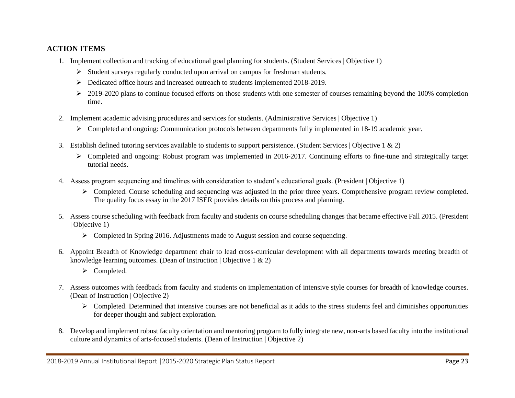## **ACTION ITEMS**

- 1. Implement collection and tracking of educational goal planning for students. (Student Services | Objective 1)
	- $\triangleright$  Student surveys regularly conducted upon arrival on campus for freshman students.
	- ➢ Dedicated office hours and increased outreach to students implemented 2018-2019.
	- $\geq 2019-2020$  plans to continue focused efforts on those students with one semester of courses remaining beyond the 100% completion time.
- 2. Implement academic advising procedures and services for students. (Administrative Services | Objective 1)
	- ➢ Completed and ongoing: Communication protocols between departments fully implemented in 18-19 academic year.
- 3. Establish defined tutoring services available to students to support persistence. (Student Services | Objective 1 & 2)
	- ➢ Completed and ongoing: Robust program was implemented in 2016-2017. Continuing efforts to fine-tune and strategically target tutorial needs.
- 4. Assess program sequencing and timelines with consideration to student's educational goals. (President | Objective 1)
	- $\triangleright$  Completed. Course scheduling and sequencing was adjusted in the prior three years. Comprehensive program review completed. The quality focus essay in the 2017 ISER provides details on this process and planning.
- 5. Assess course scheduling with feedback from faculty and students on course scheduling changes that became effective Fall 2015. (President | Objective 1)
	- $\triangleright$  Completed in Spring 2016. Adjustments made to August session and course sequencing.
- 6. Appoint Breadth of Knowledge department chair to lead cross-curricular development with all departments towards meeting breadth of knowledge learning outcomes. (Dean of Instruction | Objective 1 & 2)
	- ➢ Completed.
- 7. Assess outcomes with feedback from faculty and students on implementation of intensive style courses for breadth of knowledge courses. (Dean of Instruction | Objective 2)
	- ➢ Completed. Determined that intensive courses are not beneficial as it adds to the stress students feel and diminishes opportunities for deeper thought and subject exploration.
- 8. Develop and implement robust faculty orientation and mentoring program to fully integrate new, non-arts based faculty into the institutional culture and dynamics of arts-focused students. (Dean of Instruction | Objective 2)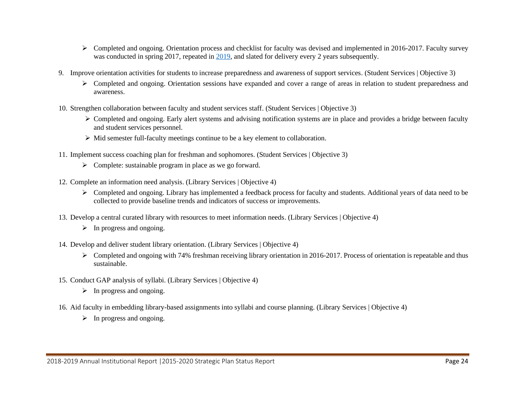- ➢ Completed and ongoing. Orientation process and checklist for faculty was devised and implemented in 2016-2017. Faculty survey was conducted in spring 2017, repeated in  $\frac{2019}{100}$ , and slated for delivery every 2 years subsequently.
- 9. Improve orientation activities for students to increase preparedness and awareness of support services. (Student Services | Objective 3)
	- ➢ Completed and ongoing. Orientation sessions have expanded and cover a range of areas in relation to student preparedness and awareness.
- 10. Strengthen collaboration between faculty and student services staff. (Student Services | Objective 3)
	- ➢ Completed and ongoing. Early alert systems and advising notification systems are in place and provides a bridge between faculty and student services personnel.
	- ➢ Mid semester full-faculty meetings continue to be a key element to collaboration.
- 11. Implement success coaching plan for freshman and sophomores. (Student Services | Objective 3)
	- ➢ Complete: sustainable program in place as we go forward.
- 12. Complete an information need analysis. (Library Services | Objective 4)
	- $\triangleright$  Completed and ongoing. Library has implemented a feedback process for faculty and students. Additional years of data need to be collected to provide baseline trends and indicators of success or improvements.
- 13. Develop a central curated library with resources to meet information needs. (Library Services | Objective 4)
	- $\triangleright$  In progress and ongoing.
- 14. Develop and deliver student library orientation. (Library Services | Objective 4)
	- $\triangleright$  Completed and ongoing with 74% freshman receiving library orientation in 2016-2017. Process of orientation is repeatable and thus sustainable.
- 15. Conduct GAP analysis of syllabi. (Library Services | Objective 4)
	- $\triangleright$  In progress and ongoing.
- 16. Aid faculty in embedding library-based assignments into syllabi and course planning. (Library Services | Objective 4)
	- $\triangleright$  In progress and ongoing.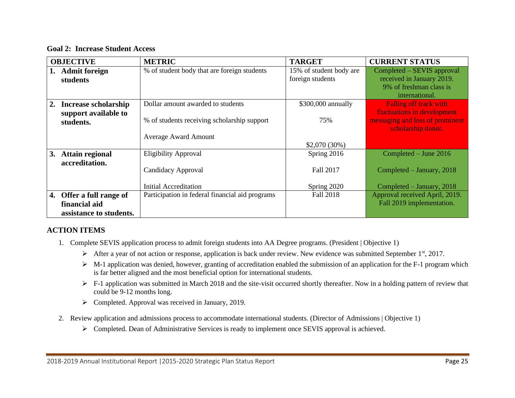**Goal 2: Increase Student Access**

|    | <b>OBJECTIVE</b>                                                  | <b>METRIC</b>                                   | <b>TARGET</b>                               | <b>CURRENT STATUS</b>                                                                                |
|----|-------------------------------------------------------------------|-------------------------------------------------|---------------------------------------------|------------------------------------------------------------------------------------------------------|
|    | <b>Admit foreign</b><br>students                                  | % of student body that are foreign students     | 15% of student body are<br>foreign students | Completed – SEVIS approval<br>received in January 2019.<br>9% of freshman class is<br>international. |
| 2. | <b>Increase scholarship</b>                                       | Dollar amount awarded to students               | \$300,000 annually                          | Falling off track with                                                                               |
|    | support available to<br>students.                                 | % of students receiving scholarship support     | 75%                                         | fluctuations in development<br>messaging and loss of prominent<br>scholarship donor.                 |
|    |                                                                   | <b>Average Award Amount</b>                     |                                             |                                                                                                      |
|    |                                                                   |                                                 | $$2,070(30\%)$                              |                                                                                                      |
| 3. | <b>Attain regional</b>                                            | <b>Eligibility Approval</b>                     | Spring 2016                                 | Completed – June 2016                                                                                |
|    | accreditation.                                                    | Candidacy Approval                              | <b>Fall 2017</b>                            | Completed – January, 2018                                                                            |
|    |                                                                   | Initial Accreditation                           | Spring 2020                                 | Completed $-$ January, 2018                                                                          |
| 4. | Offer a full range of<br>financial aid<br>assistance to students. | Participation in federal financial aid programs | Fall 2018                                   | Approval received April, 2019.<br>Fall 2019 implementation.                                          |

## **ACTION ITEMS**

- 1. Complete SEVIS application process to admit foreign students into AA Degree programs. (President | Objective 1)
	- ➢ After a year of not action or response, application is back under review. New evidence was submitted September 1st, 2017.
	- ➢ M-1 application was denied, however, granting of accreditation enabled the submission of an application for the F-1 program which is far better aligned and the most beneficial option for international students.
	- ➢ F-1 application was submitted in March 2018 and the site-visit occurred shortly thereafter. Now in a holding pattern of review that could be 9-12 months long.
	- ➢ Completed. Approval was received in January, 2019.
- 2. Review application and admissions process to accommodate international students. (Director of Admissions | Objective 1)
	- ➢ Completed. Dean of Administrative Services is ready to implement once SEVIS approval is achieved.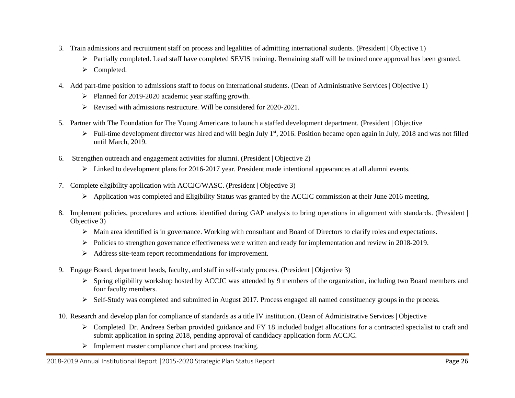- 3. Train admissions and recruitment staff on process and legalities of admitting international students. (President | Objective 1)
	- ➢ Partially completed. Lead staff have completed SEVIS training. Remaining staff will be trained once approval has been granted.
	- ➢ Completed.
- 4. Add part-time position to admissions staff to focus on international students. (Dean of Administrative Services | Objective 1)
	- ➢ Planned for 2019-2020 academic year staffing growth.
	- ➢ Revised with admissions restructure. Will be considered for 2020-2021.
- 5. Partner with The Foundation for The Young Americans to launch a staffed development department. (President | Objective
	- $\triangleright$  Full-time development director was hired and will begin July 1<sup>st</sup>, 2016. Position became open again in July, 2018 and was not filled until March, 2019.
- 6. Strengthen outreach and engagement activities for alumni. (President | Objective 2)
	- $\triangleright$  Linked to development plans for 2016-2017 year. President made intentional appearances at all alumni events.
- 7. Complete eligibility application with ACCJC/WASC. (President | Objective 3)
	- ➢ Application was completed and Eligibility Status was granted by the ACCJC commission at their June 2016 meeting.
- 8. Implement policies, procedures and actions identified during GAP analysis to bring operations in alignment with standards. (President | Objective 3)
	- ➢ Main area identified is in governance. Working with consultant and Board of Directors to clarify roles and expectations.
	- ➢ Policies to strengthen governance effectiveness were written and ready for implementation and review in 2018-2019.
	- ➢ Address site-team report recommendations for improvement.
- 9. Engage Board, department heads, faculty, and staff in self-study process. (President | Objective 3)
	- $\triangleright$  Spring eligibility workshop hosted by ACCJC was attended by 9 members of the organization, including two Board members and four faculty members.
	- ➢ Self-Study was completed and submitted in August 2017. Process engaged all named constituency groups in the process.
- 10. Research and develop plan for compliance of standards as a title IV institution. (Dean of Administrative Services | Objective
	- ➢ Completed. Dr. Andreea Serban provided guidance and FY 18 included budget allocations for a contracted specialist to craft and submit application in spring 2018, pending approval of candidacy application form ACCJC.
	- ➢ Implement master compliance chart and process tracking.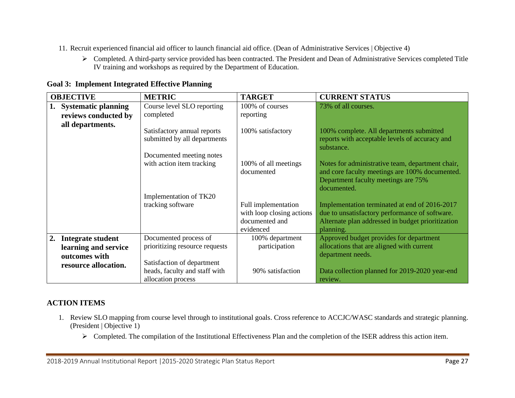- 11. Recruit experienced financial aid officer to launch financial aid office. (Dean of Administrative Services | Objective 4)
	- ➢ Completed. A third-party service provided has been contracted. The President and Dean of Administrative Services completed Title IV training and workshops as required by the Department of Education.

|                      | <b>OBJECTIVE</b>       | <b>METRIC</b>                                               | <b>TARGET</b>             | <b>CURRENT STATUS</b>                                                                      |
|----------------------|------------------------|-------------------------------------------------------------|---------------------------|--------------------------------------------------------------------------------------------|
|                      | 1. Systematic planning | Course level SLO reporting                                  | 100% of courses           | 73% of all courses.                                                                        |
|                      | reviews conducted by   | completed                                                   | reporting                 |                                                                                            |
|                      | all departments.       |                                                             |                           |                                                                                            |
|                      |                        | Satisfactory annual reports<br>submitted by all departments | 100% satisfactory         | 100% complete. All departments submitted<br>reports with acceptable levels of accuracy and |
|                      |                        |                                                             |                           | substance.                                                                                 |
|                      |                        | Documented meeting notes                                    |                           |                                                                                            |
|                      |                        | with action item tracking                                   | 100% of all meetings      | Notes for administrative team, department chair,                                           |
|                      |                        |                                                             | documented                | and core faculty meetings are 100% documented.                                             |
|                      |                        |                                                             |                           | Department faculty meetings are 75%                                                        |
|                      |                        |                                                             |                           | documented.                                                                                |
|                      |                        | Implementation of TK20                                      |                           |                                                                                            |
|                      |                        | tracking software                                           | Full implementation       | Implementation terminated at end of 2016-2017                                              |
|                      |                        |                                                             | with loop closing actions | due to unsatisfactory performance of software.                                             |
|                      |                        |                                                             | documented and            | Alternate plan addressed in budget prioritization                                          |
|                      |                        |                                                             | evidenced                 | planning.                                                                                  |
| 2.                   | Integrate student      | Documented process of                                       | 100% department           | Approved budget provides for department                                                    |
|                      | learning and service   | prioritizing resource requests                              | participation             | allocations that are aligned with current                                                  |
|                      | outcomes with          |                                                             |                           | department needs.                                                                          |
| resource allocation. |                        | Satisfaction of department                                  |                           |                                                                                            |
|                      |                        | heads, faculty and staff with                               | 90% satisfaction          | Data collection planned for 2019-2020 year-end                                             |
|                      |                        | allocation process                                          |                           | review.                                                                                    |

### **Goal 3: Implement Integrated Effective Planning**

## **ACTION ITEMS**

- 1. Review SLO mapping from course level through to institutional goals. Cross reference to ACCJC/WASC standards and strategic planning. (President | Objective 1)
	- ➢ Completed. The compilation of the Institutional Effectiveness Plan and the completion of the ISER address this action item.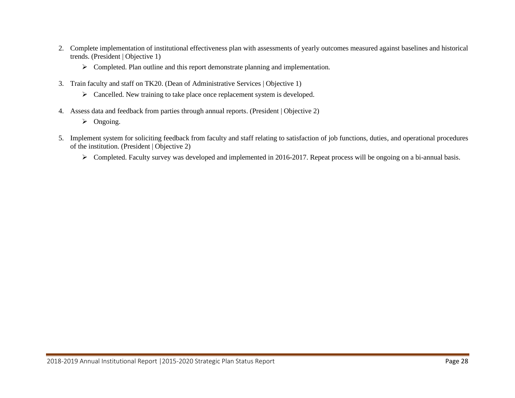- 2. Complete implementation of institutional effectiveness plan with assessments of yearly outcomes measured against baselines and historical trends. (President | Objective 1)
	- ➢ Completed. Plan outline and this report demonstrate planning and implementation.
- 3. Train faculty and staff on TK20. (Dean of Administrative Services | Objective 1)
	- ➢ Cancelled. New training to take place once replacement system is developed.
- 4. Assess data and feedback from parties through annual reports. (President | Objective 2)
	- ➢ Ongoing.
- 5. Implement system for soliciting feedback from faculty and staff relating to satisfaction of job functions, duties, and operational procedures of the institution. (President | Objective 2)
	- ➢ Completed. Faculty survey was developed and implemented in 2016-2017. Repeat process will be ongoing on a bi-annual basis.